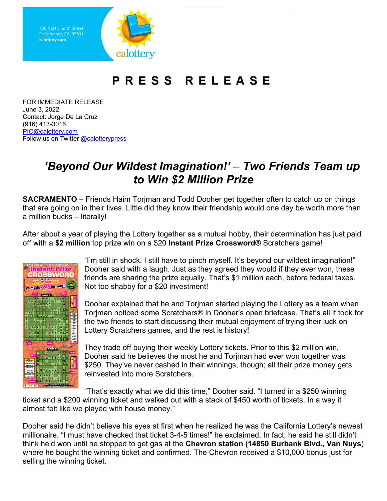Sacramento, CA 95811 calottery.com



## **PRESS RELEASE**

Contact: Jorge De La Cruz  $(916)$  413-3016 PIO@calottery.com Contact: Jorge De La Cruz<br>(916) 413-3016<br><u>PIO@calottery.com</u><br>Follow us on Twitter <u>@calotterypress</u> FOR IMMEDIATE RELEASE June 3, 2022

## *'Beyond Our Wildest Imagination!'* – *Two Friends Team up to Win \$2 Million Prize*

 **SACRAMENTO** – Friends Haim Torjman and Todd Dooher get together often to catch up on things that are going on in their lives. Little did they know their friendship would one day be worth more than a million bucks – literally!

 off with a **\$2 million** top prize win on a \$20 **Instant Prize Crossword®** Scratchers game! After about a year of playing the Lottery together as a mutual hobby, their determination has just paid



 friends are sharing the prize equally. That's \$1 million each, before federal taxes. "I'm still in shock. I still have to pinch myself. It's beyond our wildest imagination!" Dooher said with a laugh. Just as they agreed they would if they ever won, these Not too shabby for a \$20 investment!

Dooher explained that he and Torjman started playing the Lottery as a team when Torjman noticed some Scratchers® in Dooher's open briefcase. That's all it took for the two friends to start discussing their mutual enjoyment of trying their luck on Lottery Scratchers games, and the rest is history!

 \$250. They've never cashed in their winnings, though; all their prize money gets They trade off buying their weekly Lottery tickets. Prior to this \$2 million win, Dooher said he believes the most he and Torjman had ever won together was reinvested into more Scratchers.

"That's exactly what we did this time," Dooher said. "I turned in a \$250 winning ticket and a \$200 winning ticket and walked out with a stack of \$450 worth of tickets. In a way it almost felt like we played with house money."

 Dooher said he didn't believe his eyes at first when he realized he was the California Lottery's newest think he'd won until he stopped to get gas at the **Chevron station (14850 Burbank Blvd., Van Nuys**) millionaire. "I must have checked that ticket 3-4-5 times!" he exclaimed. In fact, he said he still didn't where he bought the winning ticket and confirmed. The Chevron received a \$10,000 bonus just for selling the winning ticket.